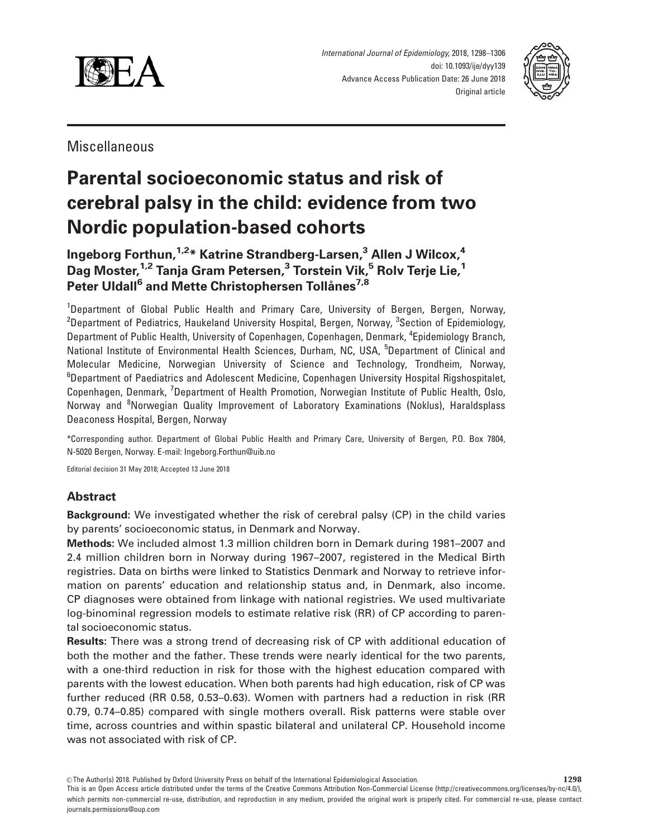

International Journal of Epidemiology, 2018, 1298–1306 doi: 10.1093/ije/dyy139 Advance Access Publication Date: 26 June 2018 Original article



Miscellaneous

# Parental socioeconomic status and risk of cerebral palsy in the child: evidence from two Nordic population-based cohorts

Ingeborg Forthun, <sup>1,2\*</sup> Katrine Strandberg-Larsen,<sup>3</sup> Allen J Wilcox,<sup>4</sup> Dag Moster,<sup>1,2</sup> Tanja Gram Petersen,<sup>3</sup> Torstein Vik,<sup>5</sup> Roly Terje Lie,<sup>1</sup> Peter Uldall<sup>6</sup> and Mette Christophersen Tollånes<sup>7,8</sup>

<sup>1</sup>Department of Global Public Health and Primary Care, University of Bergen, Bergen, Norway,  $^{\rm 2}$ Department of Pediatrics, Haukeland University Hospital, Bergen, Norway,  $^{\rm 3}$ Section of Epidemiology, Department of Public Health, University of Copenhagen, Copenhagen, Denmark, <sup>4</sup>Epidemiology Branch, National Institute of Environmental Health Sciences, Durham, NC, USA, <sup>5</sup>Department of Clinical and Molecular Medicine, Norwegian University of Science and Technology, Trondheim, Norway, <sup>6</sup>Department of Paediatrics and Adolescent Medicine, Copenhagen University Hospital Rigshospitalet, Copenhagen, Denmark, <sup>7</sup>Department of Health Promotion, Norwegian Institute of Public Health, Oslo, Norway and <sup>8</sup>Norwegian Quality Improvement of Laboratory Examinations (Noklus), Haraldsplass Deaconess Hospital, Bergen, Norway

\*Corresponding author. Department of Global Public Health and Primary Care, University of Bergen, P.O. Box 7804, N-5020 Bergen, Norway. E-mail: Ingeborg.Forthun@uib.no

Editorial decision 31 May 2018; Accepted 13 June 2018

# Abstract

Background: We investigated whether the risk of cerebral palsy (CP) in the child varies by parents' socioeconomic status, in Denmark and Norway.

Methods: We included almost 1.3 million children born in Demark during 1981–2007 and 2.4 million children born in Norway during 1967–2007, registered in the Medical Birth registries. Data on births were linked to Statistics Denmark and Norway to retrieve information on parents' education and relationship status and, in Denmark, also income. CP diagnoses were obtained from linkage with national registries. We used multivariate log-binominal regression models to estimate relative risk (RR) of CP according to parental socioeconomic status.

Results: There was a strong trend of decreasing risk of CP with additional education of both the mother and the father. These trends were nearly identical for the two parents, with a one-third reduction in risk for those with the highest education compared with parents with the lowest education. When both parents had high education, risk of CP was further reduced (RR 0.58, 0.53–0.63). Women with partners had a reduction in risk (RR 0.79, 0.74–0.85) compared with single mothers overall. Risk patterns were stable over time, across countries and within spastic bilateral and unilateral CP. Household income was not associated with risk of CP.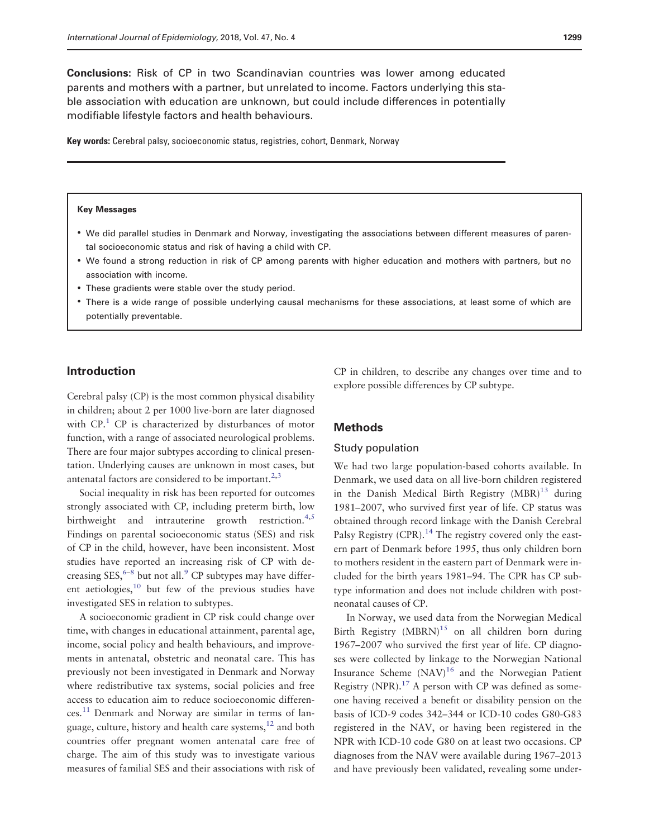modifiable lifestyle factors and health behaviours.

<span id="page-1-0"></span>Conclusions: Risk of CP in two Scandinavian countries was lower among educated parents and mothers with a partner, but unrelated to income. Factors underlying this stable association with education are unknown, but could include differences in potentially

Key words: Cerebral palsy, socioeconomic status, registries, cohort, Denmark, Norway

#### Key Messages

- We did parallel studies in Denmark and Norway, investigating the associations between different measures of parental socioeconomic status and risk of having a child with CP.
- We found a strong reduction in risk of CP among parents with higher education and mothers with partners, but no association with income.
- These gradients were stable over the study period.
- There is a wide range of possible underlying causal mechanisms for these associations, at least some of which are potentially preventable.

## Introduction

Cerebral palsy (CP) is the most common physical disability in children; about 2 per 1000 live-born are later diagnosed with  $CP<sup>1</sup>$  $CP<sup>1</sup>$  $CP<sup>1</sup>$  CP is characterized by disturbances of motor function, with a range of associated neurological problems. There are four major subtypes according to clinical presentation. Underlying causes are unknown in most cases, but antenatal factors are considered to be important. $2,3$ 

Social inequality in risk has been reported for outcomes strongly associated with CP, including preterm birth, low birthweight and intrauterine growth restriction. $4,5$ Findings on parental socioeconomic status (SES) and risk of CP in the child, however, have been inconsistent. Most studies have reported an increasing risk of CP with decreasing  $SES, ^{6-8}$  but not all.<sup>[9](#page-7-0)</sup> CP subtypes may have different aetiologies, $10$  but few of the previous studies have investigated SES in relation to subtypes.

A socioeconomic gradient in CP risk could change over time, with changes in educational attainment, parental age, income, social policy and health behaviours, and improvements in antenatal, obstetric and neonatal care. This has previously not been investigated in Denmark and Norway where redistributive tax systems, social policies and free access to education aim to reduce socioeconomic differen- $\cos$ <sup>[11](#page-8-0)</sup> Denmark and Norway are similar in terms of language, culture, history and health care systems, $12$  and both countries offer pregnant women antenatal care free of charge. The aim of this study was to investigate various measures of familial SES and their associations with risk of

CP in children, to describe any changes over time and to explore possible differences by CP subtype.

## Methods

#### Study population

We had two large population-based cohorts available. In Denmark, we used data on all live-born children registered in the Danish Medical Birth Registry  $(MBR)^{13}$  $(MBR)^{13}$  $(MBR)^{13}$  during 1981–2007, who survived first year of life. CP status was obtained through record linkage with the Danish Cerebral Palsy Registry (CPR).<sup>[14](#page-8-0)</sup> The registry covered only the eastern part of Denmark before 1995, thus only children born to mothers resident in the eastern part of Denmark were included for the birth years 1981–94. The CPR has CP subtype information and does not include children with postneonatal causes of CP.

In Norway, we used data from the Norwegian Medical Birth Registry  $(MBRN)^{15}$  on all children born during 1967–2007 who survived the first year of life. CP diagnoses were collected by linkage to the Norwegian National Insurance Scheme  $(NAV)^{16}$  $(NAV)^{16}$  $(NAV)^{16}$  and the Norwegian Patient Registry (NPR).<sup>17</sup> A person with CP was defined as someone having received a benefit or disability pension on the basis of ICD-9 codes 342–344 or ICD-10 codes G80-G83 registered in the NAV, or having been registered in the NPR with ICD-10 code G80 on at least two occasions. CP diagnoses from the NAV were available during 1967–2013 and have previously been validated, revealing some under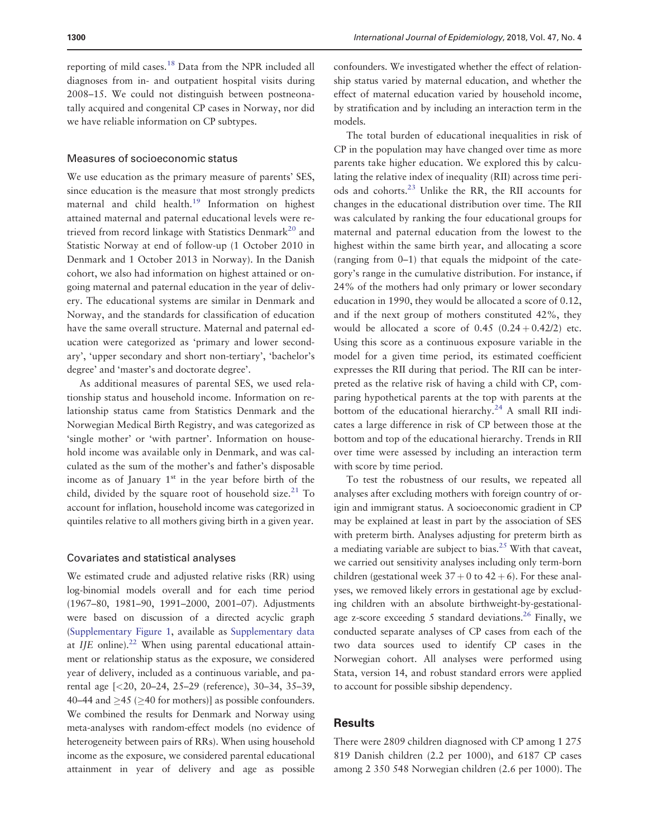<span id="page-2-0"></span>reporting of mild cases.[18](#page-8-0) Data from the NPR included all diagnoses from in- and outpatient hospital visits during 2008–15. We could not distinguish between postneonatally acquired and congenital CP cases in Norway, nor did we have reliable information on CP subtypes.

### Measures of socioeconomic status

We use education as the primary measure of parents' SES, since education is the measure that most strongly predicts maternal and child health.<sup>[19](#page-8-0)</sup> Information on highest attained maternal and paternal educational levels were re-trieved from record linkage with Statistics Denmark<sup>[20](#page-8-0)</sup> and Statistic Norway at end of follow-up (1 October 2010 in Denmark and 1 October 2013 in Norway). In the Danish cohort, we also had information on highest attained or ongoing maternal and paternal education in the year of delivery. The educational systems are similar in Denmark and Norway, and the standards for classification of education have the same overall structure. Maternal and paternal education were categorized as 'primary and lower secondary', 'upper secondary and short non-tertiary', 'bachelor's degree' and 'master's and doctorate degree'.

As additional measures of parental SES, we used relationship status and household income. Information on relationship status came from Statistics Denmark and the Norwegian Medical Birth Registry, and was categorized as 'single mother' or 'with partner'. Information on household income was available only in Denmark, and was calculated as the sum of the mother's and father's disposable income as of January  $1<sup>st</sup>$  in the year before birth of the child, divided by the square root of household size.<sup>[21](#page-8-0)</sup> To account for inflation, household income was categorized in quintiles relative to all mothers giving birth in a given year.

### Covariates and statistical analyses

We estimated crude and adjusted relative risks (RR) using log-binomial models overall and for each time period (1967–80, 1981–90, 1991–2000, 2001–07). Adjustments were based on discussion of a directed acyclic graph [\(Supplementary Figure 1,](https://academic.oup.com/ije/article-lookup/doi/10.1093/ije/dyy139#supplementary-data) available as [Supplementary data](https://academic.oup.com/ije/article-lookup/doi/10.1093/ije/dyy139#supplementary-data) at  $I/E$  online).<sup>[22](#page-8-0)</sup> When using parental educational attainment or relationship status as the exposure, we considered year of delivery, included as a continuous variable, and parental age [<20, 20–24, 25–29 (reference), 30–34, 35–39, 40–44 and  $\geq$ 45 ( $\geq$ 40 for mothers)] as possible confounders. We combined the results for Denmark and Norway using meta-analyses with random-effect models (no evidence of heterogeneity between pairs of RRs). When using household income as the exposure, we considered parental educational attainment in year of delivery and age as possible confounders. We investigated whether the effect of relationship status varied by maternal education, and whether the effect of maternal education varied by household income, by stratification and by including an interaction term in the models.

The total burden of educational inequalities in risk of CP in the population may have changed over time as more parents take higher education. We explored this by calculating the relative index of inequality (RII) across time periods and cohorts.[23](#page-8-0) Unlike the RR, the RII accounts for changes in the educational distribution over time. The RII was calculated by ranking the four educational groups for maternal and paternal education from the lowest to the highest within the same birth year, and allocating a score (ranging from 0–1) that equals the midpoint of the category's range in the cumulative distribution. For instance, if 24% of the mothers had only primary or lower secondary education in 1990, they would be allocated a score of 0.12, and if the next group of mothers constituted 42%, they would be allocated a score of  $0.45$   $(0.24 + 0.42/2)$  etc. Using this score as a continuous exposure variable in the model for a given time period, its estimated coefficient expresses the RII during that period. The RII can be interpreted as the relative risk of having a child with CP, comparing hypothetical parents at the top with parents at the bottom of the educational hierarchy.<sup>[24](#page-8-0)</sup> A small RII indicates a large difference in risk of CP between those at the bottom and top of the educational hierarchy. Trends in RII over time were assessed by including an interaction term with score by time period.

To test the robustness of our results, we repeated all analyses after excluding mothers with foreign country of origin and immigrant status. A socioeconomic gradient in CP may be explained at least in part by the association of SES with preterm birth. Analyses adjusting for preterm birth as a mediating variable are subject to bias.<sup>25</sup> With that caveat, we carried out sensitivity analyses including only term-born children (gestational week  $37 + 0$  to  $42 + 6$ ). For these analyses, we removed likely errors in gestational age by excluding children with an absolute birthweight-by-gestational-age z-score exceeding 5 standard deviations.<sup>[26](#page-8-0)</sup> Finally, we conducted separate analyses of CP cases from each of the two data sources used to identify CP cases in the Norwegian cohort. All analyses were performed using Stata, version 14, and robust standard errors were applied to account for possible sibship dependency.

## **Results**

There were 2809 children diagnosed with CP among 1 275 819 Danish children (2.2 per 1000), and 6187 CP cases among 2 350 548 Norwegian children (2.6 per 1000). The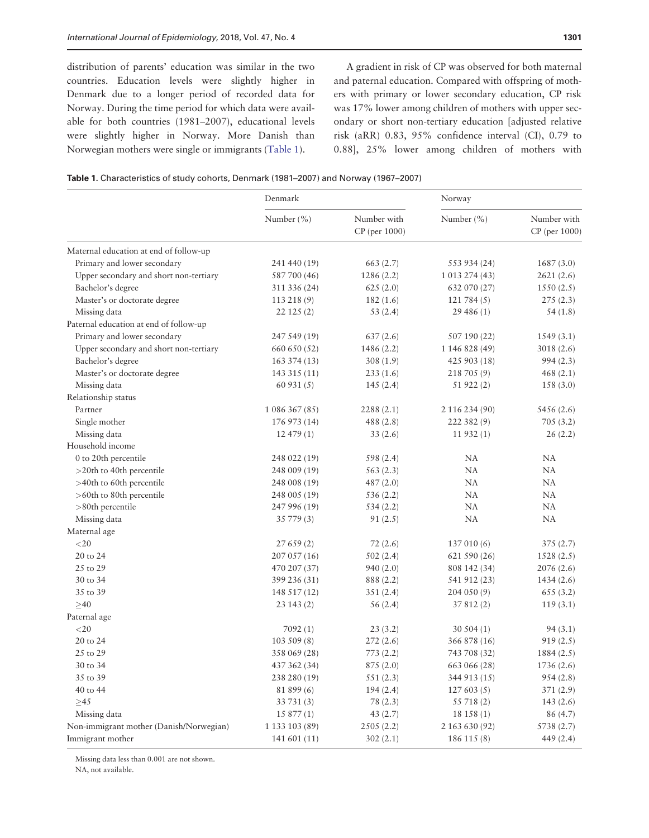distribution of parents' education was similar in the two countries. Education levels were slightly higher in Denmark due to a longer period of recorded data for Norway. During the time period for which data were available for both countries (1981–2007), educational levels were slightly higher in Norway. More Danish than Norwegian mothers were single or immigrants (Table 1).

A gradient in risk of CP was observed for both maternal and paternal education. Compared with offspring of mothers with primary or lower secondary education, CP risk was 17% lower among children of mothers with upper secondary or short non-tertiary education [adjusted relative risk (aRR) 0.83, 95% confidence interval (CI), 0.79 to 0.88], 25% lower among children of mothers with

Table 1. Characteristics of study cohorts, Denmark (1981–2007) and Norway (1967–2007)

|                                         | Denmark        |                                | Norway         |                              |
|-----------------------------------------|----------------|--------------------------------|----------------|------------------------------|
|                                         | Number $(\% )$ | Number with<br>$CP$ (per 1000) | Number $(\% )$ | Number with<br>CP (per 1000) |
| Maternal education at end of follow-up  |                |                                |                |                              |
| Primary and lower secondary             | 241 440 (19)   | 663(2.7)                       | 553 934 (24)   | 1687(3.0)                    |
| Upper secondary and short non-tertiary  | 587 700 (46)   | 1286(2.2)                      | 1 013 274 (43) | 2621 (2.6)                   |
| Bachelor's degree                       | 311 336 (24)   | 625(2.0)                       | 632 070 (27)   | 1550(2.5)                    |
| Master's or doctorate degree            | 113 218 (9)    | 182(1.6)                       | 121784(5)      | 275 (2.3)                    |
| Missing data                            | 22125(2)       | 53(2.4)                        | 29 486 (1)     | 54(1.8)                      |
| Paternal education at end of follow-up  |                |                                |                |                              |
| Primary and lower secondary             | 247 549 (19)   | 637(2.6)                       | 507 190 (22)   | 1549 (3.1)                   |
| Upper secondary and short non-tertiary  | 660 650 (52)   | 1486 (2.2)                     | 1 146 828 (49) | 3018(2.6)                    |
| Bachelor's degree                       | 163 374 (13)   | 308(1.9)                       | 425 903 (18)   | 994(2.3)                     |
| Master's or doctorate degree            | 143 315 (11)   | 233(1.6)                       | 218 705 (9)    | 468(2.1)                     |
| Missing data                            | 60931(5)       | 145(2.4)                       | 51 922 (2)     | 158(3.0)                     |
| Relationship status                     |                |                                |                |                              |
| Partner                                 | 1 086 367 (85) | 2288(2.1)                      | 2 116 234 (90) | 5456 (2.6)                   |
| Single mother                           | 176 973 (14)   | 488 (2.8)                      | 222 382 (9)    | 705(3.2)                     |
| Missing data                            | 12 479 (1)     | 33(2.6)                        | 11932(1)       | 26(2.2)                      |
| Household income                        |                |                                |                |                              |
| 0 to 20th percentile                    | 248 022 (19)   | 598 (2.4)                      | NA             | NA                           |
| $>$ 20th to 40th percentile             | 248 009 (19)   | 563(2.3)                       | NA             | NA                           |
| >40th to 60th percentile                | 248 008 (19)   | 487 (2.0)                      | NA             | NA                           |
| >60th to 80th percentile                | 248 005 (19)   | 536 (2.2)                      | NA             | NA                           |
| $>80$ th percentile                     | 247 996 (19)   | 534(2.2)                       | NA             | NA                           |
| Missing data                            | 35 779 (3)     | 91(2.5)                        | NA             | NA                           |
| Maternal age                            |                |                                |                |                              |
| $<$ 20                                  | 27659(2)       | 72(2.6)                        | 137 010 (6)    | 375(2.7)                     |
| 20 to 24                                | 207 057 (16)   | 502(2.4)                       | 621 590 (26)   | 1528(2.5)                    |
| 25 to 29                                | 470 207 (37)   | 940 (2.0)                      | 808 142 (34)   | 2076 (2.6)                   |
| 30 to 34                                | 399 236 (31)   | 888 (2.2)                      | 541 912 (23)   | 1434(2.6)                    |
| 35 to 39                                | 148 517 (12)   | 351(2.4)                       | 204 050 (9)    | 655(3.2)                     |
| $\geq 40$                               | 23 143 (2)     | 56(2.4)                        | 37 812 (2)     | 119(3.1)                     |
| Paternal age                            |                |                                |                |                              |
| $<$ 20                                  | 7092(1)        | 23(3.2)                        | 30504(1)       | 94(3.1)                      |
| 20 to 24                                | 103509(8)      | 272 (2.6)                      | 366 878 (16)   | 919(2.5)                     |
| 25 to 29                                | 358 069 (28)   | 773(2.2)                       | 743 708 (32)   | 1884 (2.5)                   |
| 30 to 34                                | 437 362 (34)   | 875(2.0)                       | 663 066 (28)   | 1736 (2.6)                   |
| 35 to 39                                | 238 280 (19)   | 551 (2.3)                      | 344 913 (15)   | 954(2.8)                     |
| 40 to 44                                | 81 899 (6)     | 194(2.4)                       | 127603(5)      | 371 (2.9)                    |
| $\geq 45$                               | 33 731 (3)     | 78 (2.3)                       | 55 718 (2)     | 143(2.6)                     |
| Missing data                            | 15 877 (1)     | 43(2.7)                        | 18 158 (1)     | 86 (4.7)                     |
| Non-immigrant mother (Danish/Norwegian) | 1 133 103 (89) | 2505(2.2)                      | 2 163 630 (92) | 5738 (2.7)                   |
| Immigrant mother                        | 141 601 (11)   | 302(2.1)                       | 186 115 (8)    | 449 (2.4)                    |

Missing data less than 0.001 are not shown.

NA, not available.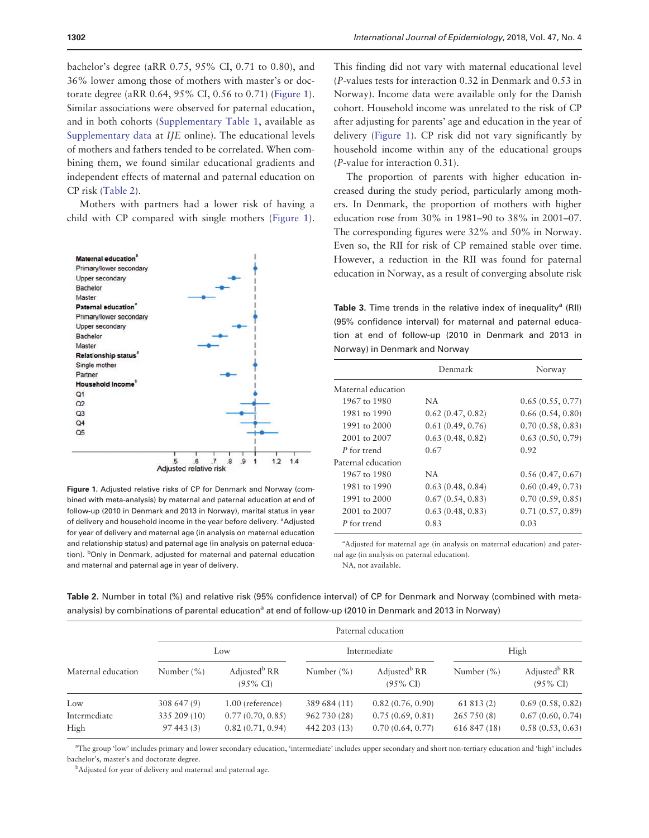<span id="page-4-0"></span>bachelor's degree (aRR 0.75, 95% CI, 0.71 to 0.80), and 36% lower among those of mothers with master's or doctorate degree (aRR 0.64, 95% CI, 0.56 to 0.71) (Figure 1). Similar associations were observed for paternal education, and in both cohorts [\(Supplementary Table 1](https://academic.oup.com/ije/article-lookup/doi/10.1093/ije/dyy139#supplementary-data), available as [Supplementary data](https://academic.oup.com/ije/article-lookup/doi/10.1093/ije/dyy139#supplementary-data) at IJE online). The educational levels of mothers and fathers tended to be correlated. When combining them, we found similar educational gradients and independent effects of maternal and paternal education on CP risk (Table 2).

Mothers with partners had a lower risk of having a child with CP compared with single mothers (Figure 1).



Figure 1. Adjusted relative risks of CP for Denmark and Norway (combined with meta-analysis) by maternal and paternal education at end of follow-up (2010 in Denmark and 2013 in Norway), marital status in year of delivery and household income in the year before delivery. <sup>a</sup>Adjusted for year of delivery and maternal age (in analysis on maternal education and relationship status) and paternal age (in analysis on paternal education). <sup>b</sup>Only in Denmark, adjusted for maternal and paternal education and maternal and paternal age in year of delivery.

This finding did not vary with maternal educational level (P-values tests for interaction 0.32 in Denmark and 0.53 in Norway). Income data were available only for the Danish cohort. Household income was unrelated to the risk of CP after adjusting for parents' age and education in the year of delivery (Figure 1). CP risk did not vary significantly by household income within any of the educational groups (P-value for interaction 0.31).

The proportion of parents with higher education increased during the study period, particularly among mothers. In Denmark, the proportion of mothers with higher education rose from 30% in 1981–90 to 38% in 2001–07. The corresponding figures were 32% and 50% in Norway. Even so, the RII for risk of CP remained stable over time. However, a reduction in the RII was found for paternal education in Norway, as a result of converging absolute risk

Table 3. Time trends in the relative index of inequality<sup>a</sup> (RII) (95% confidence interval) for maternal and paternal education at end of follow-up (2010 in Denmark and 2013 in Norway) in Denmark and Norway

|                    | Denmark          | Norway           |  |
|--------------------|------------------|------------------|--|
| Maternal education |                  |                  |  |
| 1967 to 1980       | NA               | 0.65(0.55, 0.77) |  |
| 1981 to 1990       | 0.62(0.47, 0.82) | 0.66(0.54, 0.80) |  |
| 1991 to 2000       | 0.61(0.49, 0.76) | 0.70(0.58, 0.83) |  |
| 2001 to 2007       | 0.63(0.48, 0.82) | 0.63(0.50, 0.79) |  |
| P for trend        | 0.67             | 0.92             |  |
| Paternal education |                  |                  |  |
| 1967 to 1980       | NA               | 0.56(0.47, 0.67) |  |
| 1981 to 1990       | 0.63(0.48, 0.84) | 0.60(0.49, 0.73) |  |
| 1991 to 2000       | 0.67(0.54, 0.83) | 0.70(0.59, 0.85) |  |
| 2001 to 2007       | 0.63(0.48, 0.83) | 0.71(0.57, 0.89) |  |
| P for trend        | 0.83             | 0.03             |  |

<sup>a</sup>Adjusted for maternal age (in analysis on maternal education) and paternal age (in analysis on paternal education).

NA, not available.

Table 2. Number in total (%) and relative risk (95% confidence interval) of CP for Denmark and Norway (combined with metaanalysis) by combinations of parental education<sup>a</sup> at end of follow-up (2010 in Denmark and 2013 in Norway)

|                    | Paternal education |                                                 |                |                                                 |                |                                                 |
|--------------------|--------------------|-------------------------------------------------|----------------|-------------------------------------------------|----------------|-------------------------------------------------|
|                    | Low                |                                                 | Intermediate   |                                                 | High           |                                                 |
| Maternal education | Number $(\% )$     | Adjusted <sup>b</sup> RR<br>$(95\% \text{ CI})$ | Number $(\% )$ | Adjusted <sup>b</sup> RR<br>$(95\% \text{ CI})$ | Number $(\% )$ | Adjusted <sup>b</sup> RR<br>$(95\% \text{ CI})$ |
| Low                | 308 647 (9)        | 1.00 (reference)                                | 389 684 (11)   | 0.82(0.76, 0.90)                                | 61813(2)       | 0.69(0.58, 0.82)                                |
| Intermediate       | 335 209 (10)       | 0.77(0.70, 0.85)                                | 962 730 (28)   | 0.75(0.69, 0.81)                                | 265 750 (8)    | 0.67(0.60, 0.74)                                |
| High               | 97443(3)           | 0.82(0.71, 0.94)                                | 442 203 (13)   | 0.70(0.64, 0.77)                                | 616 847 (18)   | 0.58(0.53, 0.63)                                |

a The group 'low' includes primary and lower secondary education, 'intermediate' includes upper secondary and short non-tertiary education and 'high' includes bachelor's, master's and doctorate degree.

<sup>b</sup>Adjusted for year of delivery and maternal and paternal age.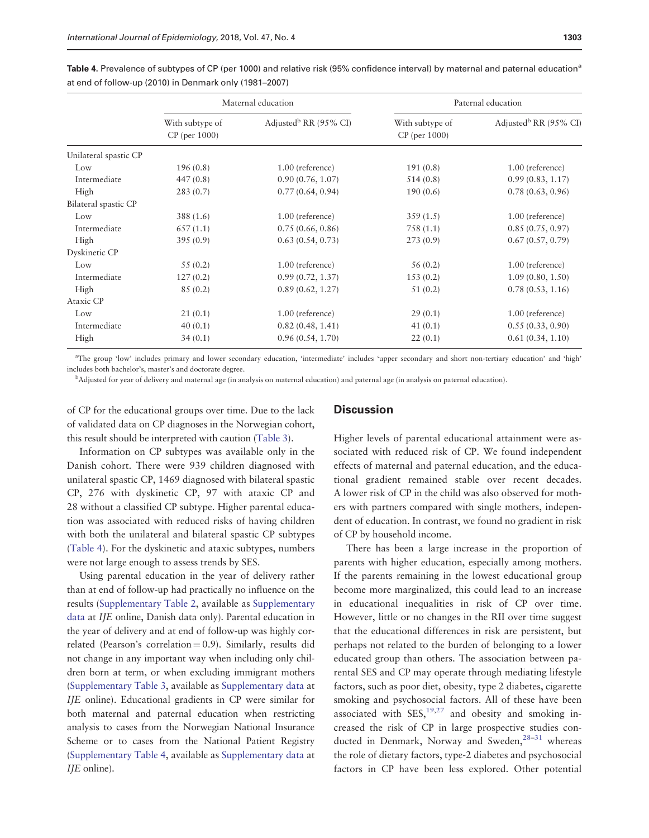|                       | Maternal education                 |                                   | Paternal education                    |                                   |  |
|-----------------------|------------------------------------|-----------------------------------|---------------------------------------|-----------------------------------|--|
|                       | With subtype of<br>$CP$ (per 1000) | Adjusted <sup>b</sup> RR (95% CI) | With subtype of<br>$CP$ (per $1000$ ) | Adjusted <sup>b</sup> RR (95% CI) |  |
| Unilateral spastic CP |                                    |                                   |                                       |                                   |  |
| Low                   | 196(0.8)                           | 1.00 (reference)                  | 191(0.8)                              | 1.00 (reference)                  |  |
| Intermediate          | 447(0.8)                           | 0.90(0.76, 1.07)                  | 514(0.8)                              | 0.99(0.83, 1.17)                  |  |
| High                  | 283(0.7)                           | 0.77(0.64, 0.94)                  | 190(0.6)                              | 0.78(0.63, 0.96)                  |  |
| Bilateral spastic CP  |                                    |                                   |                                       |                                   |  |
| Low                   | 388(1.6)                           | 1.00 (reference)                  | 359(1.5)                              | 1.00 (reference)                  |  |
| Intermediate          | 657(1.1)                           | 0.75(0.66, 0.86)                  | 758(1.1)                              | 0.85(0.75, 0.97)                  |  |
| High                  | 395(0.9)                           | 0.63(0.54, 0.73)                  | 273(0.9)                              | 0.67(0.57, 0.79)                  |  |
| Dyskinetic CP         |                                    |                                   |                                       |                                   |  |
| Low                   | 55(0.2)                            | 1.00 (reference)                  | 56(0.2)                               | 1.00 (reference)                  |  |
| Intermediate          | 127(0.2)                           | 0.99(0.72, 1.37)                  | 153(0.2)                              | 1.09(0.80, 1.50)                  |  |
| High                  | 85(0.2)                            | 0.89(0.62, 1.27)                  | 51(0.2)                               | 0.78(0.53, 1.16)                  |  |
| Ataxic CP             |                                    |                                   |                                       |                                   |  |
| Low                   | 21(0.1)                            | 1.00 (reference)                  | 29(0.1)                               | 1.00 (reference)                  |  |
| Intermediate          | 40(0.1)                            | 0.82(0.48, 1.41)                  | 41(0.1)                               | 0.55(0.33, 0.90)                  |  |
| High                  | 34(0.1)                            | 0.96(0.54, 1.70)                  | 22(0.1)                               | 0.61(0.34, 1.10)                  |  |

<span id="page-5-0"></span>Table 4. Prevalence of subtypes of CP (per 1000) and relative risk (95% confidence interval) by maternal and paternal education<sup>a</sup> at end of follow-up (2010) in Denmark only (1981–2007)

a The group 'low' includes primary and lower secondary education, 'intermediate' includes 'upper secondary and short non-tertiary education' and 'high' includes both bachelor's, master's and doctorate degree.

b Adjusted for year of delivery and maternal age (in analysis on maternal education) and paternal age (in analysis on paternal education).

of CP for the educational groups over time. Due to the lack of validated data on CP diagnoses in the Norwegian cohort, this result should be interpreted with caution [\(Table 3\)](#page-4-0).

### **Discussion**

Information on CP subtypes was available only in the Danish cohort. There were 939 children diagnosed with unilateral spastic CP, 1469 diagnosed with bilateral spastic CP, 276 with dyskinetic CP, 97 with ataxic CP and 28 without a classified CP subtype. Higher parental education was associated with reduced risks of having children with both the unilateral and bilateral spastic CP subtypes (Table 4). For the dyskinetic and ataxic subtypes, numbers were not large enough to assess trends by SES.

Using parental education in the year of delivery rather than at end of follow-up had practically no influence on the results [\(Supplementary Table 2](https://academic.oup.com/ije/article-lookup/doi/10.1093/ije/dyy139#supplementary-data), available as [Supplementary](https://academic.oup.com/ije/article-lookup/doi/10.1093/ije/dyy139#supplementary-data) [data](https://academic.oup.com/ije/article-lookup/doi/10.1093/ije/dyy139#supplementary-data) at IJE online, Danish data only). Parental education in the year of delivery and at end of follow-up was highly correlated (Pearson's correlation  $= 0.9$ ). Similarly, results did not change in any important way when including only children born at term, or when excluding immigrant mothers [\(Supplementary Table 3,](https://academic.oup.com/ije/article-lookup/doi/10.1093/ije/dyy139#supplementary-data) available as [Supplementary data](https://academic.oup.com/ije/article-lookup/doi/10.1093/ije/dyy139#supplementary-data) at IJE online). Educational gradients in CP were similar for both maternal and paternal education when restricting analysis to cases from the Norwegian National Insurance Scheme or to cases from the National Patient Registry [\(Supplementary Table 4,](https://academic.oup.com/ije/article-lookup/doi/10.1093/ije/dyy139#supplementary-data) available as [Supplementary data](https://academic.oup.com/ije/article-lookup/doi/10.1093/ije/dyy139#supplementary-data) at IJE online).

Higher levels of parental educational attainment were associated with reduced risk of CP. We found independent effects of maternal and paternal education, and the educational gradient remained stable over recent decades. A lower risk of CP in the child was also observed for mothers with partners compared with single mothers, independent of education. In contrast, we found no gradient in risk of CP by household income.

There has been a large increase in the proportion of parents with higher education, especially among mothers. If the parents remaining in the lowest educational group become more marginalized, this could lead to an increase in educational inequalities in risk of CP over time. However, little or no changes in the RII over time suggest that the educational differences in risk are persistent, but perhaps not related to the burden of belonging to a lower educated group than others. The association between parental SES and CP may operate through mediating lifestyle factors, such as poor diet, obesity, type 2 diabetes, cigarette smoking and psychosocial factors. All of these have been associated with  $SES<sub>1</sub><sup>19,27</sup>$  and obesity and smoking increased the risk of CP in large prospective studies conducted in Denmark, Norway and Sweden,  $28-31$  $28-31$  $28-31$  whereas the role of dietary factors, type-2 diabetes and psychosocial factors in CP have been less explored. Other potential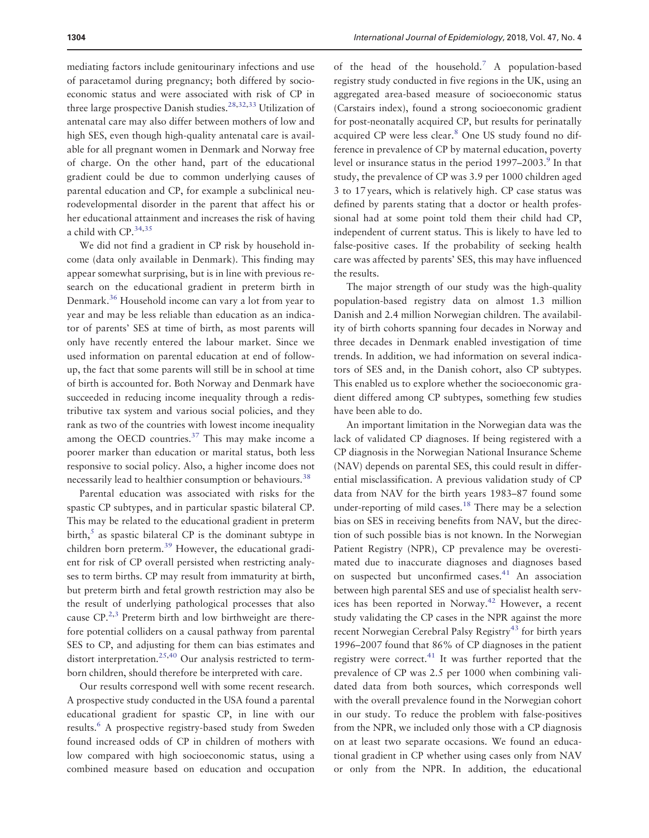<span id="page-6-0"></span>mediating factors include genitourinary infections and use of paracetamol during pregnancy; both differed by socioeconomic status and were associated with risk of CP in three large prospective Danish studies.<sup>28,32,33</sup> Utilization of antenatal care may also differ between mothers of low and high SES, even though high-quality antenatal care is available for all pregnant women in Denmark and Norway free of charge. On the other hand, part of the educational gradient could be due to common underlying causes of parental education and CP, for example a subclinical neurodevelopmental disorder in the parent that affect his or her educational attainment and increases the risk of having a child with CP.<sup>[34,35](#page-8-0)</sup>

We did not find a gradient in CP risk by household income (data only available in Denmark). This finding may appear somewhat surprising, but is in line with previous research on the educational gradient in preterm birth in Denmark[.36](#page-8-0) Household income can vary a lot from year to year and may be less reliable than education as an indicator of parents' SES at time of birth, as most parents will only have recently entered the labour market. Since we used information on parental education at end of followup, the fact that some parents will still be in school at time of birth is accounted for. Both Norway and Denmark have succeeded in reducing income inequality through a redistributive tax system and various social policies, and they rank as two of the countries with lowest income inequality among the OECD countries. $37$  This may make income a poorer marker than education or marital status, both less responsive to social policy. Also, a higher income does not necessarily lead to healthier consumption or behaviours.<sup>[38](#page-8-0)</sup>

Parental education was associated with risks for the spastic CP subtypes, and in particular spastic bilateral CP. This may be related to the educational gradient in preterm  $\text{birth}$ <sup>[5](#page-7-0)</sup> as spastic bilateral CP is the dominant subtype in children born preterm.[39](#page-8-0) However, the educational gradient for risk of CP overall persisted when restricting analyses to term births. CP may result from immaturity at birth, but preterm birth and fetal growth restriction may also be the result of underlying pathological processes that also cause  $CP<sup>2,3</sup>$  Preterm birth and low birthweight are therefore potential colliders on a causal pathway from parental SES to CP, and adjusting for them can bias estimates and distort interpretation.<sup>[25,40](#page-8-0)</sup> Our analysis restricted to termborn children, should therefore be interpreted with care.

Our results correspond well with some recent research. A prospective study conducted in the USA found a parental educational gradient for spastic CP, in line with our results[.6](#page-7-0) A prospective registry-based study from Sweden found increased odds of CP in children of mothers with low compared with high socioeconomic status, using a combined measure based on education and occupation of the head of the household.<sup>[7](#page-7-0)</sup> A population-based registry study conducted in five regions in the UK, using an aggregated area-based measure of socioeconomic status (Carstairs index), found a strong socioeconomic gradient for post-neonatally acquired CP, but results for perinatally acquired CP were less clear.<sup>[8](#page-7-0)</sup> One US study found no difference in prevalence of CP by maternal education, poverty level or insurance status in the period  $1997-2003$  $1997-2003$  $1997-2003$ .<sup>9</sup> In that study, the prevalence of CP was 3.9 per 1000 children aged 3 to 17 years, which is relatively high. CP case status was defined by parents stating that a doctor or health professional had at some point told them their child had CP, independent of current status. This is likely to have led to false-positive cases. If the probability of seeking health care was affected by parents' SES, this may have influenced the results.

The major strength of our study was the high-quality population-based registry data on almost 1.3 million Danish and 2.4 million Norwegian children. The availability of birth cohorts spanning four decades in Norway and three decades in Denmark enabled investigation of time trends. In addition, we had information on several indicators of SES and, in the Danish cohort, also CP subtypes. This enabled us to explore whether the socioeconomic gradient differed among CP subtypes, something few studies have been able to do.

An important limitation in the Norwegian data was the lack of validated CP diagnoses. If being registered with a CP diagnosis in the Norwegian National Insurance Scheme (NAV) depends on parental SES, this could result in differential misclassification. A previous validation study of CP data from NAV for the birth years 1983–87 found some under-reporting of mild cases.<sup>[18](#page-8-0)</sup> There may be a selection bias on SES in receiving benefits from NAV, but the direction of such possible bias is not known. In the Norwegian Patient Registry (NPR), CP prevalence may be overestimated due to inaccurate diagnoses and diagnoses based on suspected but unconfirmed cases.<sup>[41](#page-8-0)</sup> An association between high parental SES and use of specialist health services has been reported in Norway[.42](#page-8-0) However, a recent study validating the CP cases in the NPR against the more recent Norwegian Cerebral Palsy Registry<sup>[43](#page-8-0)</sup> for birth years 1996–2007 found that 86% of CP diagnoses in the patient registry were correct. $41$  It was further reported that the prevalence of CP was 2.5 per 1000 when combining validated data from both sources, which corresponds well with the overall prevalence found in the Norwegian cohort in our study. To reduce the problem with false-positives from the NPR, we included only those with a CP diagnosis on at least two separate occasions. We found an educational gradient in CP whether using cases only from NAV or only from the NPR. In addition, the educational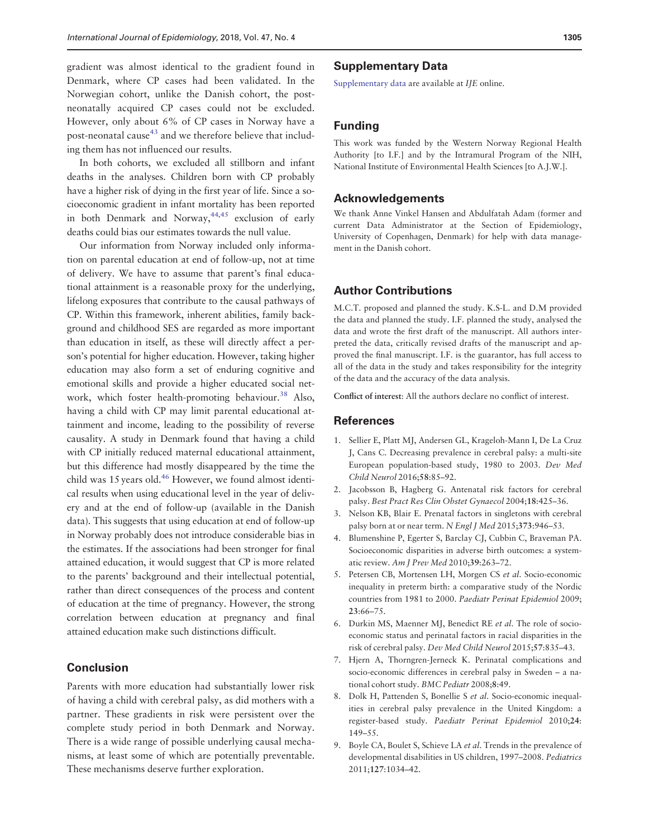<span id="page-7-0"></span>gradient was almost identical to the gradient found in Denmark, where CP cases had been validated. In the Norwegian cohort, unlike the Danish cohort, the postneonatally acquired CP cases could not be excluded. However, only about 6% of CP cases in Norway have a post-neonatal cause<sup>[43](#page-8-0)</sup> and we therefore believe that including them has not influenced our results.

In both cohorts, we excluded all stillborn and infant deaths in the analyses. Children born with CP probably have a higher risk of dying in the first year of life. Since a socioeconomic gradient in infant mortality has been reported in both Denmark and Norway,  $44,45$  exclusion of early deaths could bias our estimates towards the null value.

Our information from Norway included only information on parental education at end of follow-up, not at time of delivery. We have to assume that parent's final educational attainment is a reasonable proxy for the underlying, lifelong exposures that contribute to the causal pathways of CP. Within this framework, inherent abilities, family background and childhood SES are regarded as more important than education in itself, as these will directly affect a person's potential for higher education. However, taking higher education may also form a set of enduring cognitive and emotional skills and provide a higher educated social network, which foster health-promoting behaviour.<sup>38</sup> Also, having a child with CP may limit parental educational attainment and income, leading to the possibility of reverse causality. A study in Denmark found that having a child with CP initially reduced maternal educational attainment, but this difference had mostly disappeared by the time the child was 15 years old.<sup>46</sup> However, we found almost identical results when using educational level in the year of delivery and at the end of follow-up (available in the Danish data). This suggests that using education at end of follow-up in Norway probably does not introduce considerable bias in the estimates. If the associations had been stronger for final attained education, it would suggest that CP is more related to the parents' background and their intellectual potential, rather than direct consequences of the process and content of education at the time of pregnancy. However, the strong correlation between education at pregnancy and final attained education make such distinctions difficult.

## Conclusion

Parents with more education had substantially lower risk of having a child with cerebral palsy, as did mothers with a partner. These gradients in risk were persistent over the complete study period in both Denmark and Norway. There is a wide range of possible underlying causal mechanisms, at least some of which are potentially preventable. These mechanisms deserve further exploration.

### Supplementary Data

[Supplementary data](https://academic.oup.com/ije/article-lookup/doi/10.1093/ije/dyy139#supplementary-data) are available at IJE online.

## Funding

This work was funded by the Western Norway Regional Health Authority [to I.F.] and by the Intramural Program of the NIH, National Institute of Environmental Health Sciences [to A.J.W.].

## Acknowledgements

We thank Anne Vinkel Hansen and Abdulfatah Adam (former and current Data Administrator at the Section of Epidemiology, University of Copenhagen, Denmark) for help with data management in the Danish cohort.

## Author Contributions

M.C.T. proposed and planned the study. K.S-L. and D.M provided the data and planned the study. I.F. planned the study, analysed the data and wrote the first draft of the manuscript. All authors interpreted the data, critically revised drafts of the manuscript and approved the final manuscript. I.F. is the guarantor, has full access to all of the data in the study and takes responsibility for the integrity of the data and the accuracy of the data analysis.

Conflict of interest: All the authors declare no conflict of interest.

### **References**

- [1.](#page-1-0) Sellier E, Platt MJ, Andersen GL, Krageloh-Mann I, De La Cruz J, Cans C. Decreasing prevalence in cerebral palsy: a multi-site European population-based study, 1980 to 2003. Dev Med Child Neurol 2016;58:85–92.
- [2.](#page-1-0) Jacobsson B, Hagberg G. Antenatal risk factors for cerebral palsy. Best Pract Res Clin Obstet Gynaecol 2004;18:425–36.
- [3.](#page-1-0) Nelson KB, Blair E. Prenatal factors in singletons with cerebral palsy born at or near term. N Engl J Med 2015;373:946-53.
- [4.](#page-1-0) Blumenshine P, Egerter S, Barclay CJ, Cubbin C, Braveman PA. Socioeconomic disparities in adverse birth outcomes: a systematic review. Am J Prev Med 2010;39:263–72.
- [5.](#page-1-0) Petersen CB, Mortensen LH, Morgen CS et al. Socio-economic inequality in preterm birth: a comparative study of the Nordic countries from 1981 to 2000. Paediatr Perinat Epidemiol 2009; 23:66–75.
- [6.](#page-6-0) Durkin MS, Maenner MJ, Benedict RE et al. The role of socioeconomic status and perinatal factors in racial disparities in the risk of cerebral palsy. Dev Med Child Neurol 2015;57:835–43.
- [7.](#page-6-0) Hjern A, Thorngren-Jerneck K. Perinatal complications and socio-economic differences in cerebral palsy in Sweden – a national cohort study. BMC Pediatr 2008;8:49.
- [8.](#page-6-0) Dolk H, Pattenden S, Bonellie S et al. Socio-economic inequalities in cerebral palsy prevalence in the United Kingdom: a register-based study. Paediatr Perinat Epidemiol 2010;24: 149–55.
- [9.](#page-1-0) Boyle CA, Boulet S, Schieve LA et al. Trends in the prevalence of developmental disabilities in US children, 1997–2008. Pediatrics 2011;127:1034–42.